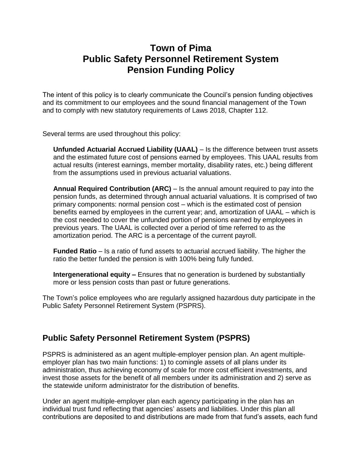## **Town of Pima Public Safety Personnel Retirement System Pension Funding Policy**

The intent of this policy is to clearly communicate the Council's pension funding objectives and its commitment to our employees and the sound financial management of the Town and to comply with new statutory requirements of Laws 2018, Chapter 112.

Several terms are used throughout this policy:

**Unfunded Actuarial Accrued Liability (UAAL)** – Is the difference between trust assets and the estimated future cost of pensions earned by employees. This UAAL results from actual results (interest earnings, member mortality, disability rates, etc.) being different from the assumptions used in previous actuarial valuations.

**Annual Required Contribution (ARC)** – Is the annual amount required to pay into the pension funds, as determined through annual actuarial valuations. It is comprised of two primary components: normal pension cost – which is the estimated cost of pension benefits earned by employees in the current year; and, amortization of UAAL – which is the cost needed to cover the unfunded portion of pensions earned by employees in previous years. The UAAL is collected over a period of time referred to as the amortization period. The ARC is a percentage of the current payroll.

**Funded Ratio** – Is a ratio of fund assets to actuarial accrued liability. The higher the ratio the better funded the pension is with 100% being fully funded.

**Intergenerational equity –** Ensures that no generation is burdened by substantially more or less pension costs than past or future generations.

The Town's police employees who are regularly assigned hazardous duty participate in the Public Safety Personnel Retirement System (PSPRS).

## **Public Safety Personnel Retirement System (PSPRS)**

PSPRS is administered as an agent multiple-employer pension plan. An agent multipleemployer plan has two main functions: 1) to comingle assets of all plans under its administration, thus achieving economy of scale for more cost efficient investments, and invest those assets for the benefit of all members under its administration and 2) serve as the statewide uniform administrator for the distribution of benefits.

Under an agent multiple-employer plan each agency participating in the plan has an individual trust fund reflecting that agencies' assets and liabilities. Under this plan all contributions are deposited to and distributions are made from that fund's assets, each fund